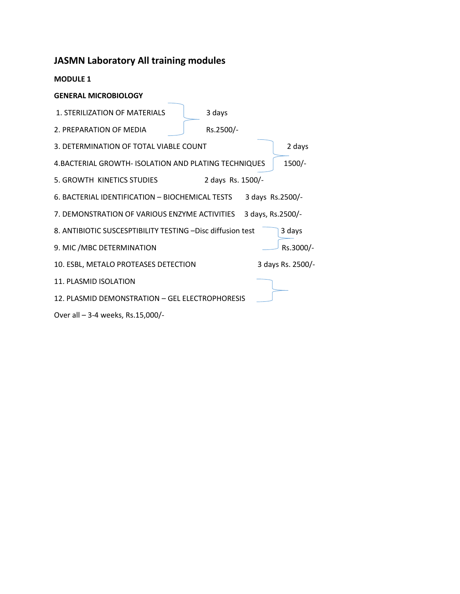# **JASMN Laboratory All training modules**

**MODULE 1** 

## **GENERAL MICROBIOLOGY**

1. STERILIZATION OF MATERIALS 3 days 2. PREPARATION OF MEDIA Rs.2500/-3. DETERMINATION OF TOTAL VIABLE COUNT 2 days 4.BACTERIAL GROWTH- ISOLATION AND PLATING TECHNIQUES | 1500/-5. GROWTH KINETICS STUDIES 2 days Rs. 1500/-6. BACTERIAL IDENTIFICATION – BIOCHEMICAL TESTS 3 days Rs.2500/- 7. DEMONSTRATION OF VARIOUS ENZYME ACTIVITIES 3 days, Rs.2500/-8. ANTIBIOTIC SUSCESPTIBILITY TESTING - Disc diffusion test 3 days 9. MIC /MBC DETERMINATION RS.3000/-10. ESBL, METALO PROTEASES DETECTION 3 days Rs. 2500/- 11. PLASMID ISOLATION 12. PLASMID DEMONSTRATION – GEL ELECTROPHORESIS

Over all – 3-4 weeks, Rs.15,000/-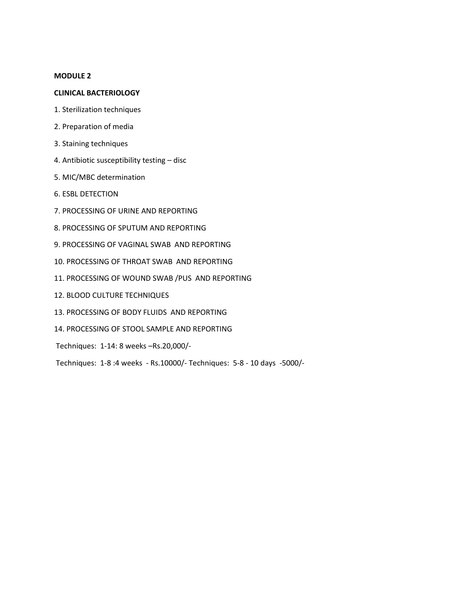## **MODULE 2**

## **CLINICAL BACTERIOLOGY**

- 1. Sterilization techniques
- 2. Preparation of media
- 3. Staining techniques
- 4. Antibiotic susceptibility testing disc
- 5. MIC/MBC determination
- 6. ESBL DETECTION
- 7. PROCESSING OF URINE AND REPORTING
- 8. PROCESSING OF SPUTUM AND REPORTING
- 9. PROCESSING OF VAGINAL SWAB AND REPORTING
- 10. PROCESSING OF THROAT SWAB AND REPORTING
- 11. PROCESSING OF WOUND SWAB /PUS AND REPORTING
- 12. BLOOD CULTURE TECHNIQUES
- 13. PROCESSING OF BODY FLUIDS AND REPORTING
- 14. PROCESSING OF STOOL SAMPLE AND REPORTING
- Techniques: 1-14: 8 weeks –Rs.20,000/-

Techniques: 1-8 :4 weeks - Rs.10000/- Techniques: 5-8 - 10 days -5000/-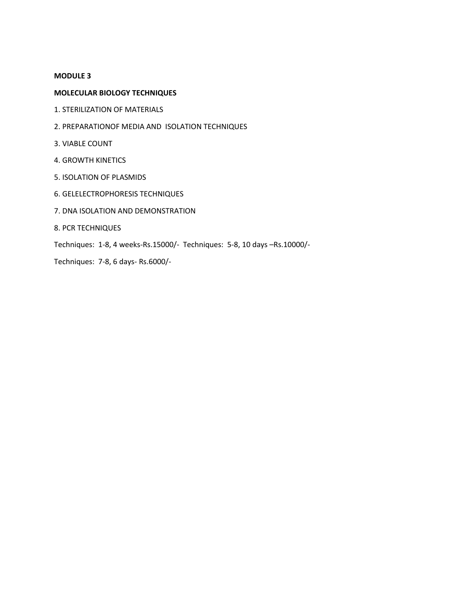## **MODULE 3**

## **MOLECULAR BIOLOGY TECHNIQUES**

- 1. STERILIZATION OF MATERIALS
- 2. PREPARATIONOF MEDIA AND ISOLATION TECHNIQUES
- 3. VIABLE COUNT
- 4. GROWTH KINETICS
- 5. ISOLATION OF PLASMIDS
- 6. GELELECTROPHORESIS TECHNIQUES
- 7. DNA ISOLATION AND DEMONSTRATION
- 8. PCR TECHNIQUES
- Techniques: 1-8, 4 weeks-Rs.15000/- Techniques: 5-8, 10 days –Rs.10000/-
- Techniques: 7-8, 6 days- Rs.6000/-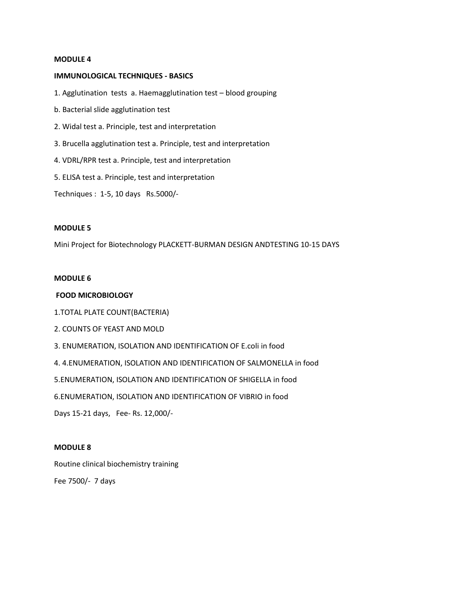#### **MODULE 4**

#### **IMMUNOLOGICAL TECHNIQUES - BASICS**

1. Agglutination tests a. Haemagglutination test – blood grouping

- b. Bacterial slide agglutination test
- 2. Widal test a. Principle, test and interpretation
- 3. Brucella agglutination test a. Principle, test and interpretation
- 4. VDRL/RPR test a. Principle, test and interpretation
- 5. ELISA test a. Principle, test and interpretation

Techniques : 1-5, 10 days Rs.5000/-

### **MODULE 5**

Mini Project for Biotechnology PLACKETT-BURMAN DESIGN ANDTESTING 10-15 DAYS

#### **MODULE 6**

#### **FOOD MICROBIOLOGY**

1.TOTAL PLATE COUNT(BACTERIA)

- 2. COUNTS OF YEAST AND MOLD
- 3. ENUMERATION, ISOLATION AND IDENTIFICATION OF E.coli in food

4. 4.ENUMERATION, ISOLATION AND IDENTIFICATION OF SALMONELLA in food

5.ENUMERATION, ISOLATION AND IDENTIFICATION OF SHIGELLA in food

6.ENUMERATION, ISOLATION AND IDENTIFICATION OF VIBRIO in food

Days 15-21 days, Fee- Rs. 12,000/-

#### **MODULE 8**

Routine clinical biochemistry training Fee 7500/- 7 days